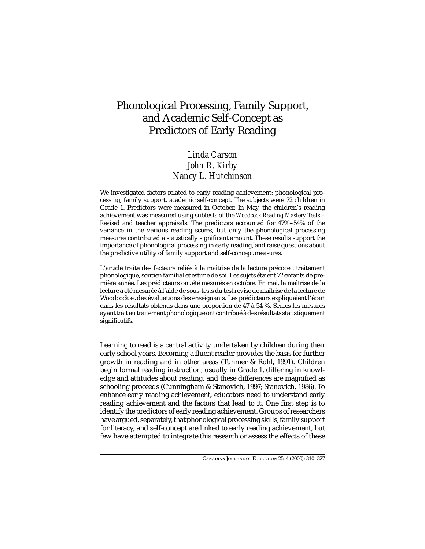# Phonological Processing, Family Support, and Academic Self-Concept as Predictors of Early Reading

## *Linda Carson John R. Kirby Nancy L. Hutchinson*

We investigated factors related to early reading achievement: phonological processing, family support, academic self-concept. The subjects were 72 children in Grade 1. Predictors were measured in October. In May, the children's reading achievement was measured using subtests of the *Woodcock Reading Mastery Tests – Revised* and teacher appraisals. The predictors accounted for 47%–54% of the variance in the various reading scores, but only the phonological processing measures contributed a statistically significant amount. These results support the importance of phonological processing in early reading, and raise questions about the predictive utility of family support and self-concept measures.

L'article traite des facteurs reliés à la maîtrise de la lecture précoce : traitement phonologique, soutien familial et estime de soi. Les sujets étaient 72 enfants de première année. Les prédicteurs ont été mesurés en octobre. En mai, la maîtrise de la lecture a été mesurée à l'aide de sous-tests du test révisé de maîtrise de la lecture de Woodcock et des évaluations des enseignants. Les prédicteurs expliquaient l'écart dans les résultats obtenus dans une proportion de 47 à 54 %. Seules les mesures ayant trait au traitement phonologique ont contribué à des résultats statistiquement significatifs.

Learning to read is a central activity undertaken by children during their early school years. Becoming a fluent reader provides the basis for further growth in reading and in other areas (Tunmer & Rohl, 1991). Children begin formal reading instruction, usually in Grade 1, differing in knowledge and attitudes about reading, and these differences are magnified as schooling proceeds (Cunningham & Stanovich, 1997; Stanovich, 1986). To enhance early reading achievement, educators need to understand early reading achievement and the factors that lead to it. One first step is to identify the predictors of early reading achievement. Groups of researchers have argued, separately, that phonological processing skills, family support for literacy, and self-concept are linked to early reading achievement, but few have attempted to integrate this research or assess the effects of these

CANADIAN JOURNAL OF EDUCATION 25, 4 (2000): 310–327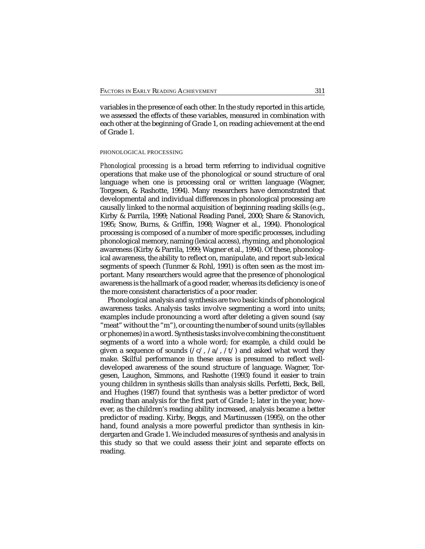variables in the presence of each other. In the study reported in this article, we assessed the effects of these variables, measured in combination with each other at the beginning of Grade 1, on reading achievement at the end of Grade 1.

## PHONOLOGICAL PROCESSING

*Phonological processing* is a broad term referring to individual cognitive operations that make use of the phonological or sound structure of oral language when one is processing oral or written language (Wagner, Torgesen, & Rashotte, 1994). Many researchers have demonstrated that developmental and individual differences in phonological processing are causally linked to the normal acquisition of beginning reading skills (e.g., Kirby & Parrila, 1999; National Reading Panel, 2000; Share & Stanovich, 1995; Snow, Burns, & Griffin, 1998; Wagner et al., 1994). Phonological processing is composed of a number of more specific processes, including phonological memory, naming (lexical access), rhyming, and phonological awareness (Kirby & Parrila, 1999; Wagner et al., 1994). Of these, phonological awareness, the ability to reflect on, manipulate, and report sub-lexical segments of speech (Tunmer & Rohl, 1991) is often seen as the most important. Many researchers would agree that the presence of phonological awareness is the hallmark of a good reader, whereas its deficiency is one of the more consistent characteristics of a poor reader.

Phonological analysis and synthesis are two basic kinds of phonological awareness tasks. Analysis tasks involve segmenting a word into units; examples include pronouncing a word after deleting a given sound (say "meat" without the "m"), or counting the number of sound units (syllables or phonemes) in a word. Synthesis tasks involve combining the constituent segments of a word into a whole word; for example, a child could be given a sequence of sounds  $(\sqrt{c}/\sqrt{a}/\sqrt{t})$  and asked what word they make. Skilful performance in these areas is presumed to reflect welldeveloped awareness of the sound structure of language. Wagner, Torgesen, Laughon, Simmons, and Rashotte (1993) found it easier to train young children in synthesis skills than analysis skills. Perfetti, Beck, Bell, and Hughes (1987) found that synthesis was a better predictor of word reading than analysis for the first part of Grade 1; later in the year, however, as the children's reading ability increased, analysis became a better predictor of reading. Kirby, Beggs, and Martinussen (1995), on the other hand, found analysis a more powerful predictor than synthesis in kindergarten and Grade 1. We included measures of synthesis and analysis in this study so that we could assess their joint and separate effects on reading.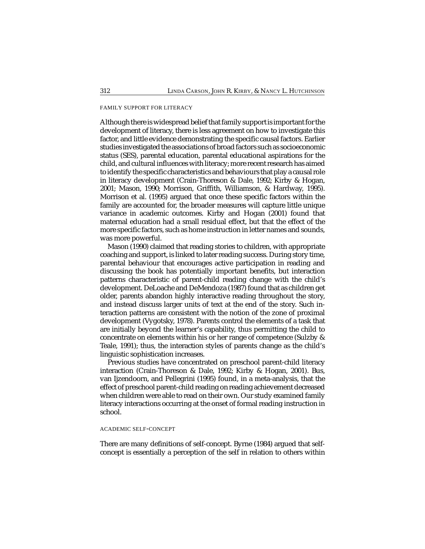## FAMILY SUPPORT FOR LITERACY

Although there is widespread belief that family support is important for the development of literacy, there is less agreement on how to investigate this factor, and little evidence demonstrating the specific causal factors. Earlier studies investigated the associations of broad factors such as socioeconomic status (SES), parental education, parental educational aspirations for the child, and cultural influences with literacy; more recent research has aimed to identify the specific characteristics and behaviours that play a causal role in literacy development (Crain-Thoreson & Dale, 1992; Kirby & Hogan, 2001; Mason, 1990; Morrison, Griffith, Williamson, & Hardway, 1995). Morrison et al. (1995) argued that once these specific factors within the family are accounted for, the broader measures will capture little unique variance in academic outcomes. Kirby and Hogan (2001) found that maternal education had a small residual effect, but that the effect of the more specific factors, such as home instruction in letter names and sounds, was more powerful.

Mason (1990) claimed that reading stories to children, with appropriate coaching and support, is linked to later reading success. During story time, parental behaviour that encourages active participation in reading and discussing the book has potentially important benefits, but interaction patterns characteristic of parent-child reading change with the child's development. DeLoache and DeMendoza (1987) found that as children get older, parents abandon highly interactive reading throughout the story, and instead discuss larger units of text at the end of the story. Such interaction patterns are consistent with the notion of the zone of proximal development (Vygotsky, 1978). Parents control the elements of a task that are initially beyond the learner's capability, thus permitting the child to concentrate on elements within his or her range of competence (Sulzby & Teale, 1991); thus, the interaction styles of parents change as the child's linguistic sophistication increases.

Previous studies have concentrated on preschool parent-child literacy interaction (Crain-Thoreson & Dale, 1992; Kirby & Hogan, 2001). Bus, van Ijzendoorn, and Pellegrini (1995) found, in a meta-analysis, that the effect of preschool parent-child reading on reading achievement decreased when children were able to read on their own. Our study examined family literacy interactions occurring at the onset of formal reading instruction in school.

## ACADEMIC SELF-CONCEPT

There are many definitions of self-concept. Byrne (1984) argued that selfconcept is essentially a perception of the self in relation to others within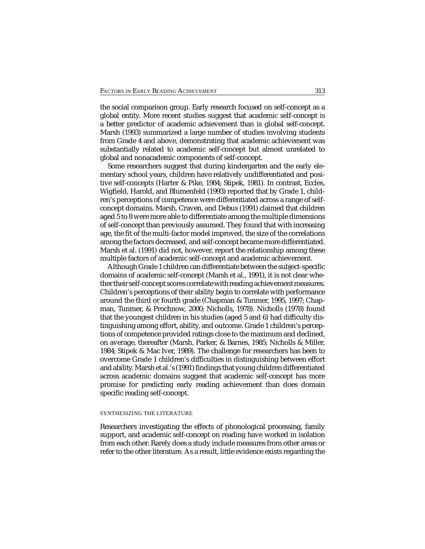the social comparison group. Early research focused on self-concept as a global entity. More recent studies suggest that academic self-concept is a better predictor of academic achievement than is global self-concept. Marsh (1993) summarized a large number of studies involving students from Grade 4 and above, demonstrating that academic achievement was substantially related to academic self-concept but almost unrelated to global and nonacademic components of self-concept.

Some researchers suggest that during kindergarten and the early elementary school years, children have relatively undifferentiated and positive self-concepts (Harter & Pike, 1984; Stipek, 1981). In contrast, Eccles, Wigfield, Harold, and Blumenfeld (1993) reported that by Grade 1, children's perceptions of competence were differentiated across a range of selfconcept domains. Marsh, Craven, and Debus (1991) claimed that children aged 5 to 8 were more able to differentiate among the multiple dimensions of self-concept than previously assumed. They found that with increasing age, the fit of the multi-factor model improved, the size of the correlations among the factors decreased, and self-concept became more differentiated. Marsh et al. (1991) did not, however, report the relationship among these multiple factors of academic self-concept and academic achievement.

Although Grade 1 children can differentiate between the subject-specific domains of academic self-concept (Marsh et al., 1991), it is not clear whether their self-concept scores correlate with reading achievement measures. Children's perceptions of their ability begin to correlate with performance around the third or fourth grade (Chapman & Tunmer, 1995, 1997; Chapman, Tunmer, & Prochnow, 2000; Nicholls, 1978). Nicholls (1978) found that the youngest children in his studies (aged 5 and 6) had difficulty distinguishing among effort, ability, and outcome. Grade 1 children's perceptions of competence provided ratings close to the maximum and declined, on average, thereafter (Marsh, Parker, & Barnes, 1985; Nicholls & Miller, 1984; Stipek & Mac Iver, 1989). The challenge for researchers has been to overcome Grade 1 children's difficulties in distinguishing between effort and ability. Marsh et al.'s (1991) findings that young children differentiated across academic domains suggest that academic self-concept has more promise for predicting early reading achievement than does domain specific reading self-concept.

#### SYNTHESIZING THE LITERATURE

Researchers investigating the effects of phonological processing, family support, and academic self-concept on reading have worked in isolation from each other. Rarely does a study include measures from other areas or refer to the other literature. As a result, little evidence exists regarding the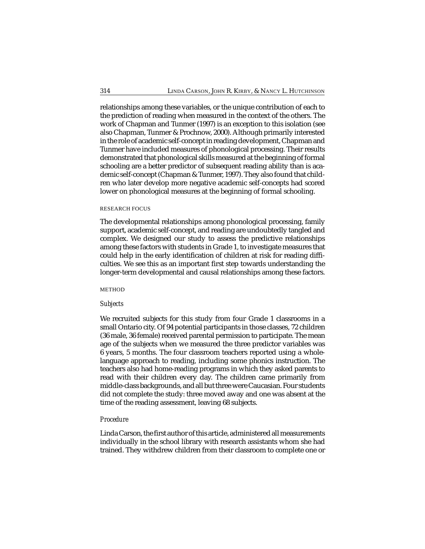relationships among these variables, or the unique contribution of each to the prediction of reading when measured in the context of the others. The work of Chapman and Tunmer (1997) is an exception to this isolation (see also Chapman, Tunmer & Prochnow, 2000). Although primarily interested in the role of academic self-concept in reading development, Chapman and Tunmer have included measures of phonological processing. Their results demonstrated that phonological skills measured at the beginning of formal schooling are a better predictor of subsequent reading ability than is academic self-concept (Chapman & Tunmer, 1997). They also found that children who later develop more negative academic self-concepts had scored lower on phonological measures at the beginning of formal schooling.

## RESEARCH FOCUS

The developmental relationships among phonological processing, family support, academic self-concept, and reading are undoubtedly tangled and complex. We designed our study to assess the predictive relationships among these factors with students in Grade 1, to investigate measures that could help in the early identification of children at risk for reading difficulties. We see this as an important first step towards understanding the longer-term developmental and causal relationships among these factors.

## METHOD

## *Subjects*

We recruited subjects for this study from four Grade 1 classrooms in a small Ontario city. Of 94 potential participants in those classes, 72 children (36 male, 36 female) received parental permission to participate. The mean age of the subjects when we measured the three predictor variables was 6 years, 5 months. The four classroom teachers reported using a wholelanguage approach to reading, including some phonics instruction. The teachers also had home-reading programs in which they asked parents to read with their children every day. The children came primarily from middle-class backgrounds, and all but three were Caucasian. Four students did not complete the study: three moved away and one was absent at the time of the reading assessment, leaving 68 subjects.

## *Procedure*

Linda Carson, the first author of this article, administered all measurements individually in the school library with research assistants whom she had trained. They withdrew children from their classroom to complete one or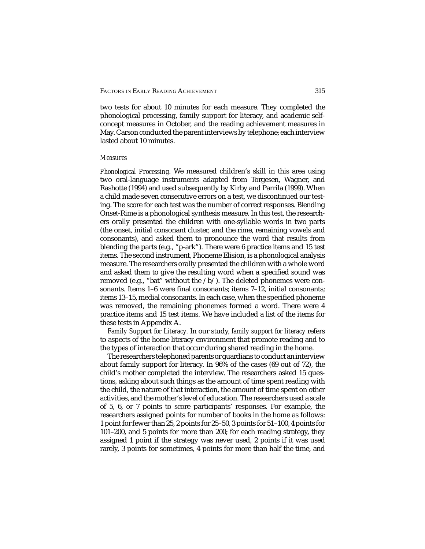two tests for about 10 minutes for each measure. They completed the phonological processing, family support for literacy, and academic selfconcept measures in October, and the reading achievement measures in May. Carson conducted the parent interviews by telephone; each interview lasted about 10 minutes.

## *Measures*

*Phonological Processing.* We measured children's skill in this area using two oral-language instruments adapted from Torgesen, Wagner, and Rashotte (1994) and used subsequently by Kirby and Parrila (1999). When a child made seven consecutive errors on a test, we discontinued our testing. The score for each test was the number of correct responses. Blending Onset-Rime is a phonological synthesis measure. In this test, the researchers orally presented the children with one-syllable words in two parts (the onset, initial consonant cluster, and the rime, remaining vowels and consonants), and asked them to pronounce the word that results from blending the parts (e.g., "p-ark"). There were 6 practice items and 15 test items. The second instrument, Phoneme Elision, is a phonological analysis measure. The researchers orally presented the children with a whole word and asked them to give the resulting word when a specified sound was removed (e.g., "bat" without the /b/). The deleted phonemes were consonants. Items 1–6 were final consonants; items 7–12, initial consonants; items 13–15, medial consonants. In each case, when the specified phoneme was removed, the remaining phonemes formed a word. There were 4 practice items and 15 test items. We have included a list of the items for these tests in Appendix A.

*Family Support for Literacy.* In our study, *family support for literacy* refers to aspects of the home literacy environment that promote reading and to the types of interaction that occur during shared reading in the home.

The researchers telephoned parents or guardians to conduct an interview about family support for literacy. In 96% of the cases (69 out of 72), the child's mother completed the interview. The researchers asked 15 questions, asking about such things as the amount of time spent reading with the child, the nature of that interaction, the amount of time spent on other activities, and the mother's level of education. The researchers used a scale of 5, 6, or 7 points to score participants' responses. For example, the researchers assigned points for number of books in the home as follows: 1 point for fewer than 25, 2 points for 25–50, 3 points for 51–100, 4 points for 101–200, and 5 points for more than 200; for each reading strategy, they assigned 1 point if the strategy was never used, 2 points if it was used rarely, 3 points for sometimes, 4 points for more than half the time, and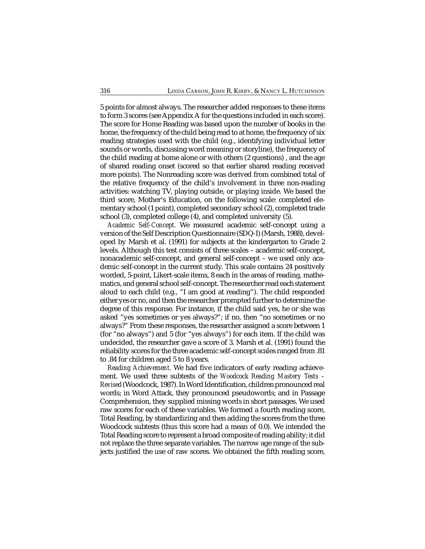5 points for almost always. The researcher added responses to these items to form 3 scores (see Appendix A for the questions included in each score). The score for Home Reading was based upon the number of books in the home, the frequency of the child being read to at home, the frequency of six reading strategies used with the child (e.g., identifying individual letter sounds or words, discussing word meaning or storyline), the frequency of the child reading at home alone or with others (2 questions) , and the age of shared reading onset (scored so that earlier shared reading received more points). The Nonreading score was derived from combined total of the relative frequency of the child's involvement in three non-reading activities: watching TV, playing outside, or playing inside. We based the third score, Mother's Education, on the following scale: completed elementary school (1 point), completed secondary school (2), completed trade school (3), completed college (4), and completed university (5).

*Academic Self-Concept.* We measured academic self-concept using a version of the Self Description Questionnaire (SDQ-I) (Marsh, 1988), developed by Marsh et al. (1991) for subjects at the kindergarten to Grade 2 levels. Although this test consists of three scales – academic self-concept, nonacademic self-concept, and general self-concept – we used only academic self-concept in the current study. This scale contains 24 positively worded, 5-point, Likert-scale items, 8 each in the areas of reading, mathematics, and general school self-concept. The researcher read each statement aloud to each child (e.g., "I am good at reading"). The child responded either yes or no, and then the researcher prompted further to determine the degree of this response. For instance, if the child said yes, he or she was asked "yes sometimes or yes always?"; if no, then "no sometimes or no always?" From these responses, the researcher assigned a score between 1 (for "no always") and 5 (for "yes always") for each item. If the child was undecided, the researcher gave a score of 3. Marsh et al. (1991) found the reliability scores for the three academic self-concept scales ranged from .81 to .84 for children aged 5 to 8 years.

*Reading Achievement.* We had five indicators of early reading achievement. We used three subtests of the *Woodcock Reading Mastery Tests – Revised* (Woodcock, 1987). In Word Identification, children pronounced real words; in Word Attack, they pronounced pseudowords; and in Passage Comprehension, they supplied missing words in short passages. We used raw scores for each of these variables. We formed a fourth reading score, Total Reading, by standardizing and then adding the scores from the three Woodcock subtests (thus this score had a mean of 0.0). We intended the Total Reading score to represent a broad composite of reading ability; it did not replace the three separate variables. The narrow age range of the subjects justified the use of raw scores. We obtained the fifth reading score,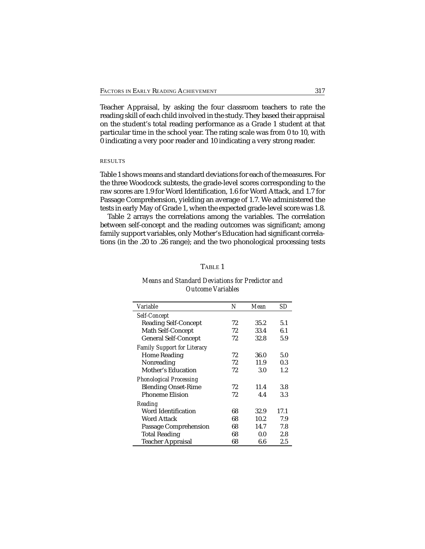Teacher Appraisal, by asking the four classroom teachers to rate the reading skill of each child involved in the study. They based their appraisal on the student's total reading performance as a Grade 1 student at that particular time in the school year. The rating scale was from 0 to 10, with 0 indicating a very poor reader and 10 indicating a very strong reader.

## RESULTS

Table 1 shows means and standard deviations for each of the measures. For the three Woodcock subtests, the grade-level scores corresponding to the raw scores are 1.9 for Word Identification, 1.6 for Word Attack, and 1.7 for Passage Comprehension, yielding an average of 1.7. We administered the tests in early May of Grade 1, when the expected grade-level score was 1.8.

Table 2 arrays the correlations among the variables. The correlation between self-concept and the reading outcomes was significant; among family support variables, only Mother's Education had significant correlations (in the .20 to .26 range); and the two phonological processing tests

## TABLE 1

| Variable                           | N  | Mean | SD      |
|------------------------------------|----|------|---------|
| Self-Concept                       |    |      |         |
| <b>Reading Self-Concept</b>        | 72 | 35.2 | 5.1     |
| Math Self-Concept                  | 72 | 33.4 | 6.1     |
| <b>General Self-Concept</b>        | 72 | 32.8 | 5.9     |
| <b>Family Support for Literacy</b> |    |      |         |
| <b>Home Reading</b>                | 72 | 36.0 | 5.0     |
| Nonreading                         | 72 | 11.9 | 0.3     |
| Mother's Education                 | 72 | 3.0  | $1.2\,$ |
| <b>Phonological Processing</b>     |    |      |         |
| <b>Blending Onset-Rime</b>         | 72 | 11.4 | 3.8     |
| <b>Phoneme Elision</b>             | 72 | 4.4  | 3.3     |
| <b>Reading</b>                     |    |      |         |
| Word Identification                | 68 | 32.9 | 17.1    |
| Word Attack                        | 68 | 10.2 | 7.9     |
| Passage Comprehension              | 68 | 14.7 | 7.8     |
| <b>Total Reading</b>               | 68 | 0.0  | 2.8     |
| <b>Teacher Appraisal</b>           | 68 | 6.6  | 2.5     |

## *Means and Standard Deviations for Predictor and Outcome Variables*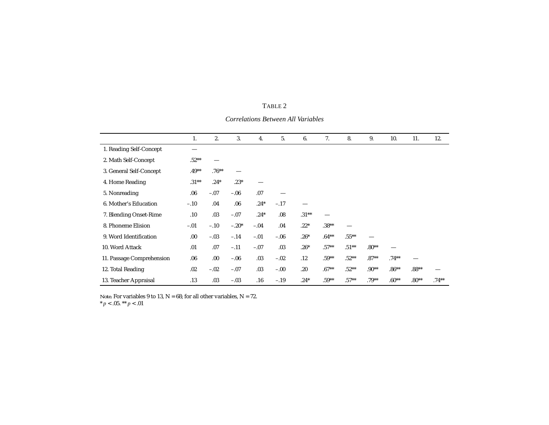|                           | 1.       | 2.      | 3.      | 4.     | 5.     | 6.       | 7.       | 8.       | 9.      | 10.     | 11.     | 12.     |
|---------------------------|----------|---------|---------|--------|--------|----------|----------|----------|---------|---------|---------|---------|
|                           |          |         |         |        |        |          |          |          |         |         |         |         |
| 1. Reading Self-Concept   | —        |         |         |        |        |          |          |          |         |         |         |         |
| 2. Math Self-Concept      | $.52**$  |         |         |        |        |          |          |          |         |         |         |         |
| 3. General Self-Concept   | $.49**$  | $.76**$ |         |        |        |          |          |          |         |         |         |         |
| 4. Home Reading           | $.31***$ | $.24*$  | $.23*$  |        |        |          |          |          |         |         |         |         |
| 5. Nonreading             | 06       | $-.07$  | $-.06$  | .07    |        |          |          |          |         |         |         |         |
| 6. Mother's Education     | $-.10$   | .04     | .06     | $.24*$ | $-.17$ |          |          |          |         |         |         |         |
| 7. Blending Onset-Rime    | .10      | .03     | $-.07$  | $.24*$ | .08    | $.31***$ |          |          |         |         |         |         |
| 8. Phoneme Elision        | $-.01$   | $-.10$  | $-.20*$ | $-.04$ | .04    | $.22*$   | $.38**$  |          |         |         |         |         |
| 9. Word Identification    | 00.      | $-.03$  | $-.14$  | $-.01$ | $-.06$ | $.26*$   | $.64***$ | $.55***$ |         |         |         |         |
| 10. Word Attack           | .01      | .07     | $-.11$  | $-.07$ | .03    | $.26*$   | $.57**$  | $.51***$ | $.80**$ |         |         |         |
| 11. Passage Comprehension | .06      | .00.    | $-0.06$ | .03    | $-.02$ | .12      | $.59**$  | $.52**$  | $.87**$ | $.74**$ |         |         |
| 12. Total Reading         | .02      | $-.02$  | $-.07$  | .03    | $-.00$ | .20      | $.67**$  | $.52**$  | $.90**$ | $.86**$ | $.88**$ |         |
| 13. Teacher Appraisal     | .13      | .03     | $-.03$  | .16    | $-.19$ | $.24*$   | $.59**$  | $.57**$  | $.79**$ | $.60**$ | $.80**$ | $.74**$ |

TABLE 2

*Correlations Between All Variables*

*Note.* For variables 9 to 13,  $N = 68$ ; for all other variables,  $N = 72$ .

 $* p < .05. ** p < .01$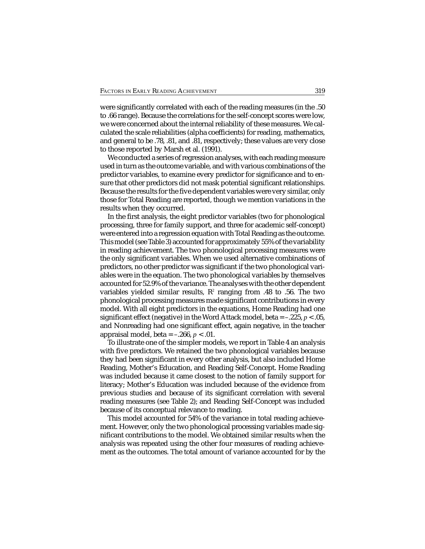were significantly correlated with each of the reading measures (in the .50 to .66 range). Because the correlations for the self-concept scores were low, we were concerned about the internal reliability of these measures. We calculated the scale reliabilities (alpha coefficients) for reading, mathematics, and general to be .78, .81, and .81, respectively; these values are very close to those reported by Marsh et al. (1991).

We conducted a series of regression analyses, with each reading measure used in turn as the outcome variable, and with various combinations of the predictor variables, to examine every predictor for significance and to ensure that other predictors did not mask potential significant relationships. Because the results for the five dependent variables were very similar, only those for Total Reading are reported, though we mention variations in the results when they occurred.

In the first analysis, the eight predictor variables (two for phonological processing, three for family support, and three for academic self-concept) were entered into a regression equation with Total Reading as the outcome. This model (see Table 3) accounted for approximately 55% of the variability in reading achievement. The two phonological processing measures were the only significant variables. When we used alternative combinations of predictors, no other predictor was significant if the two phonological variables were in the equation. The two phonological variables by themselves accounted for 52.9% of the variance. The analyses with the other dependent variables yielded similar results,  $R^2$  ranging from .48 to .56. The two phonological processing measures made significant contributions in every model. With all eight predictors in the equations, Home Reading had one significant effect (negative) in the Word Attack model, beta  $=$  -.225,  $p < .05$ , and Nonreading had one significant effect, again negative, in the teacher appraisal model, beta = –.266, *p* < .01.

To illustrate one of the simpler models, we report in Table 4 an analysis with five predictors. We retained the two phonological variables because they had been significant in every other analysis, but also included Home Reading, Mother's Education, and Reading Self-Concept. Home Reading was included because it came closest to the notion of family support for literacy; Mother's Education was included because of the evidence from previous studies and because of its significant correlation with several reading measures (see Table 2); and Reading Self-Concept was included because of its conceptual relevance to reading.

This model accounted for 54% of the variance in total reading achievement. However, only the two phonological processing variables made significant contributions to the model. We obtained similar results when the analysis was repeated using the other four measures of reading achievement as the outcomes. The total amount of variance accounted for by the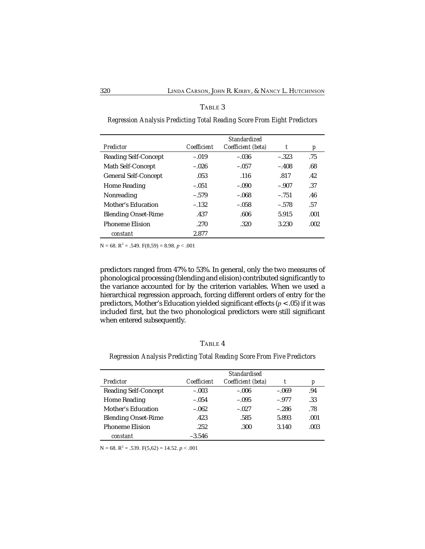|                             | <b>Standardized</b> |                    |         |      |  |  |
|-----------------------------|---------------------|--------------------|---------|------|--|--|
| Predictor                   | Coefficient         | Coefficient (beta) | t       | p    |  |  |
| <b>Reading Self-Concept</b> | $-.019$             | $-.036$            | $-.323$ | .75  |  |  |
| Math Self-Concept           | $-.026$             | $-.057$            | $-.408$ | .68  |  |  |
| <b>General Self-Concept</b> | .053                | .116               | .817    | .42  |  |  |
| <b>Home Reading</b>         | $-.051$             | $-.090$            | $-.907$ | .37  |  |  |
| Nonreading                  | $-.579$             | $-.068$            | $-.751$ | .46  |  |  |
| Mother's Education          | $-.132$             | $-.058$            | $-.578$ | .57  |  |  |
| <b>Blending Onset-Rime</b>  | .437                | .606               | 5.915   | .001 |  |  |
| <b>Phoneme Elision</b>      | .270                | .320               | 3.230   | .002 |  |  |
| constant                    | 2.877               |                    |         |      |  |  |

## TABLE 3

*Regression Analysis Predicting Total Reading Score From Eight Predictors*

 $N = 68$ .  $R^2 = .549$ .  $F(8,59) = 8.98$ .  $p < .001$ 

predictors ranged from 47% to 53%. In general, only the two measures of phonological processing (blending and elision) contributed significantly to the variance accounted for by the criterion variables. When we used a hierarchical regression approach, forcing different orders of entry for the predictors, Mother's Education yielded significant effects (*p* < .05) if it was included first, but the two phonological predictors were still significant when entered subsequently.

## TABLE 4

*Regression Analysis Predicting Total Reading Score From Five Predictors*

|                             | <b>Standardised</b> |                    |         |      |  |  |
|-----------------------------|---------------------|--------------------|---------|------|--|--|
| Predictor                   | Coefficient         | Coefficient (beta) |         | p    |  |  |
| <b>Reading Self-Concept</b> | $-.003$             | $-.006$            | $-.069$ | .94  |  |  |
| <b>Home Reading</b>         | $-.054$             | $-.095$            | $-.977$ | .33  |  |  |
| Mother's Education          | $-.062$             | $-.027$            | $-.286$ | .78  |  |  |
| <b>Blending Onset-Rime</b>  | .423                | .585               | 5.893   | .001 |  |  |
| <b>Phoneme Elision</b>      | .252                | .300               | 3.140   | .003 |  |  |
| constant                    | $-3.546$            |                    |         |      |  |  |

 $N = 68$ .  $R^2 = .539$ .  $F(5,62) = 14.52$ .  $p < .001$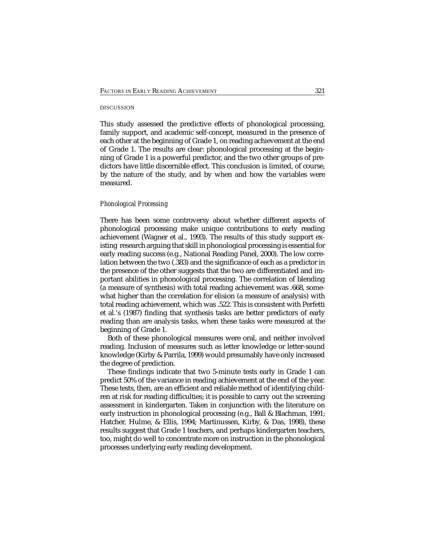#### DISCUSSION

This study assessed the predictive effects of phonological processing, family support, and academic self-concept, measured in the presence of each other at the beginning of Grade 1, on reading achievement at the end of Grade 1. The results are clear: phonological processing at the beginning of Grade 1 is a powerful predictor, and the two other groups of predictors have little discernible effect. This conclusion is limited, of course, by the nature of the study, and by when and how the variables were measured.

## *Phonological Processing*

There has been some controversy about whether different aspects of phonological processing make unique contributions to early reading achievement (Wagner et al., 1993). The results of this study support existing research arguing that skill in phonological processing is essential for early reading success (e.g., National Reading Panel, 2000). The low correlation between the two (.383) and the significance of each as a predictor in the presence of the other suggests that the two are differentiated and important abilities in phonological processing. The correlation of blending (a measure of synthesis) with total reading achievement was .668, somewhat higher than the correlation for elision (a measure of analysis) with total reading achievement, which was .522. This is consistent with Perfetti et al.'s (1987) finding that synthesis tasks are better predictors of early reading than are analysis tasks, when these tasks were measured at the beginning of Grade 1.

Both of these phonological measures were oral, and neither involved reading. Inclusion of measures such as letter knowledge or letter-sound knowledge (Kirby & Parrila, 1999) would presumably have only increased the degree of prediction.

These findings indicate that two 5-minute tests early in Grade 1 can predict 50% of the variance in reading achievement at the end of the year. These tests, then, are an efficient and reliable method of identifying children at risk for reading difficulties; it is possible to carry out the screening assessment in kindergarten. Taken in conjunction with the literature on early instruction in phonological processing (e.g., Ball & Blachman, 1991; Hatcher, Hulme, & Ellis, 1994; Martinussen, Kirby, & Das, 1998), these results suggest that Grade 1 teachers, and perhaps kindergarten teachers, too, might do well to concentrate more on instruction in the phonological processes underlying early reading development.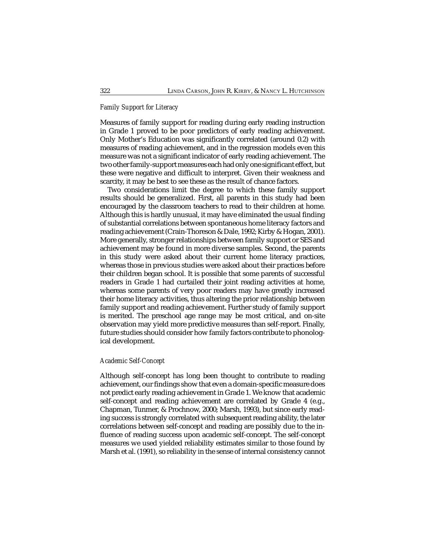## *Family Support for Literacy*

Measures of family support for reading during early reading instruction in Grade 1 proved to be poor predictors of early reading achievement. Only Mother's Education was significantly correlated (around 0.2) with measures of reading achievement, and in the regression models even this measure was not a significant indicator of early reading achievement. The two other family-support measures each had only one significant effect, but these were negative and difficult to interpret. Given their weakness and scarcity, it may be best to see these as the result of chance factors.

Two considerations limit the degree to which these family support results should be generalized. First, all parents in this study had been encouraged by the classroom teachers to read to their children at home. Although this is hardly unusual, it may have eliminated the usual finding of substantial correlations between spontaneous home literacy factors and reading achievement (Crain-Thoreson & Dale, 1992; Kirby & Hogan, 2001). More generally, stronger relationships between family support or SES and achievement may be found in more diverse samples. Second, the parents in this study were asked about their current home literacy practices, whereas those in previous studies were asked about their practices before their children began school. It is possible that some parents of successful readers in Grade 1 had curtailed their joint reading activities at home, whereas some parents of very poor readers may have greatly increased their home literacy activities, thus altering the prior relationship between family support and reading achievement. Further study of family support is merited. The preschool age range may be most critical, and on-site observation may yield more predictive measures than self-report. Finally, future studies should consider how family factors contribute to phonological development.

## *Academic Self-Concept*

Although self-concept has long been thought to contribute to reading achievement, our findings show that even a domain-specific measure does not predict early reading achievement in Grade 1. We know that academic self-concept and reading achievement are correlated by Grade 4 (e.g., Chapman, Tunmer, & Prochnow, 2000; Marsh, 1993), but since early reading success is strongly correlated with subsequent reading ability, the later correlations between self-concept and reading are possibly due to the influence of reading success upon academic self-concept. The self-concept measures we used yielded reliability estimates similar to those found by Marsh et al. (1991), so reliability in the sense of internal consistency cannot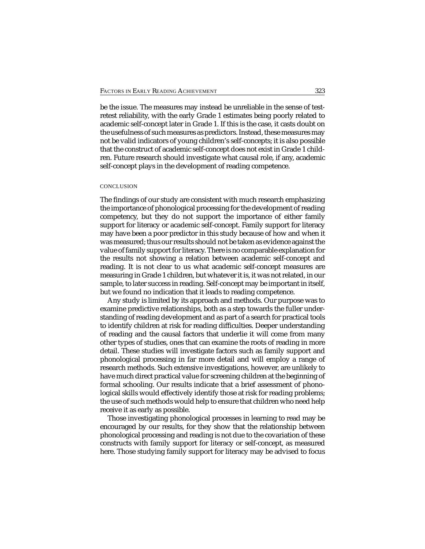be the issue. The measures may instead be unreliable in the sense of testretest reliability, with the early Grade 1 estimates being poorly related to academic self-concept later in Grade 1. If this is the case, it casts doubt on the usefulness of such measures as predictors. Instead, these measures may not be valid indicators of young children's self-concepts; it is also possible that the construct of academic self-concept does not exist in Grade 1 children. Future research should investigate what causal role, if any, academic self-concept plays in the development of reading competence.

## **CONCLUSION**

The findings of our study are consistent with much research emphasizing the importance of phonological processing for the development of reading competency, but they do not support the importance of either family support for literacy or academic self-concept. Family support for literacy may have been a poor predictor in this study because of how and when it was measured; thus our results should not be taken as evidence against the value of family support for literacy. There is no comparable explanation for the results not showing a relation between academic self-concept and reading. It is not clear to us what academic self-concept measures are measuring in Grade 1 children, but whatever it is, it was not related, in our sample, to later success in reading. Self-concept may be important in itself, but we found no indication that it leads to reading competence.

Any study is limited by its approach and methods. Our purpose was to examine predictive relationships, both as a step towards the fuller understanding of reading development and as part of a search for practical tools to identify children at risk for reading difficulties. Deeper understanding of reading and the causal factors that underlie it will come from many other types of studies, ones that can examine the roots of reading in more detail. These studies will investigate factors such as family support and phonological processing in far more detail and will employ a range of research methods. Such extensive investigations, however, are unlikely to have much direct practical value for screening children at the beginning of formal schooling. Our results indicate that a brief assessment of phonological skills would effectively identify those at risk for reading problems; the use of such methods would help to ensure that children who need help receive it as early as possible.

Those investigating phonological processes in learning to read may be encouraged by our results, for they show that the relationship between phonological processing and reading is not due to the covariation of these constructs with family support for literacy or self-concept, as measured here. Those studying family support for literacy may be advised to focus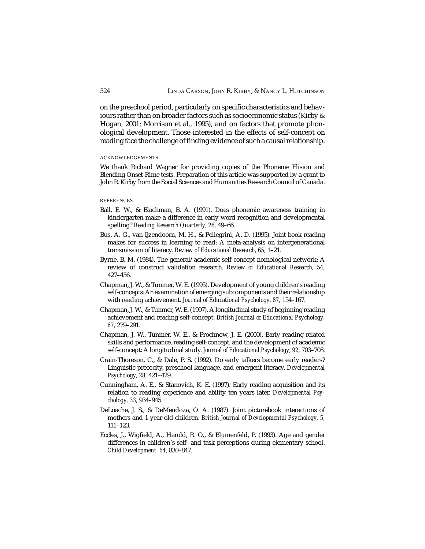on the preschool period, particularly on specific characteristics and behaviours rather than on broader factors such as socioeconomic status (Kirby & Hogan, 2001; Morrison et al., 1995), and on factors that promote phonological development. Those interested in the effects of self-concept on reading face the challenge of finding evidence of such a causal relationship.

#### ACKNOWLEDGEMENTS

We thank Richard Wagner for providing copies of the Phoneme Elision and Blending Onset-Rime tests. Preparation of this article was supported by a grant to John R. Kirby from the Social Sciences and Humanities Research Council of Canada.

## **REFERENCES**

- Ball, E. W., & Blachman, B. A. (1991). Does phonemic awareness training in kindergarten make a difference in early word recognition and developmental spelling? *Reading Research Quarterly, 26,* 49–66.
- Bus, A. G., van Ijzendoorn, M. H., & Pellegrini, A. D. (1995). Joint book reading makes for success in learning to read: A meta-analysis on intergenerational transmission of literacy. *Review of Educational Research, 65,* 1–21.
- Byrne, B. M. (1984). The general/academic self-concept nomological network: A review of construct validation research. *Review of Educational Research, 54,* 427–456.
- Chapman, J. W., & Tunmer, W. E. (1995). Development of young children's reading self-concepts: An examination of emerging subcomponents and their relationship with reading achievement. *Journal of Educational Psychology, 87,* 154–167.
- Chapman, J. W., & Tunmer, W. E. (1997). A longitudinal study of beginning reading achievement and reading self-concept. *British Journal of Educational Psychology, 67,* 279–291.
- Chapman, J. W., Tunmer, W. E., & Prochnow, J. E. (2000). Early reading-related skills and performance, reading self-concept, and the development of academic self-concept: A longitudinal study. *Journal of Educational Psychology, 92,* 703–708.
- Crain-Thoreson, C., & Dale, P. S. (1992). Do early talkers become early readers? Linguistic precocity, preschool language, and emergent literacy. *Developmental Psychology, 28,* 421–429.
- Cunningham, A. E., & Stanovich, K. E. (1997). Early reading acquisition and its relation to reading experience and ability ten years later. *Developmental Psychology, 33,* 934–945.
- DeLoache, J. S., & DeMendoza, O. A. (1987). Joint picturebook interactions of mothers and 1-year-old children. *British Journal of Developmental Psychology, 5,* 111–123.
- Eccles, J., Wigfield, A., Harold, R. O., & Blumenfeld, P. (1993). Age and gender differences in children's self- and task perceptions during elementary school. *Child Development, 64,* 830–847.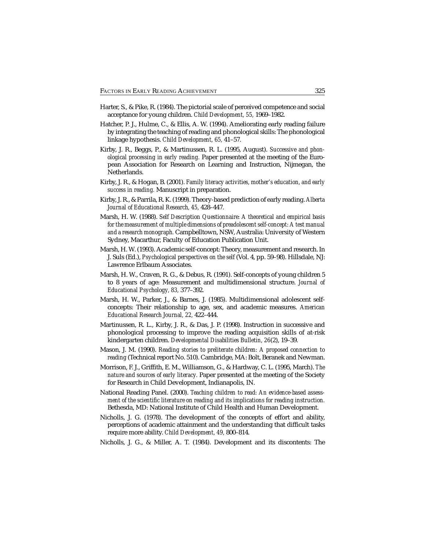- Harter, S., & Pike, R. (1984). The pictorial scale of perceived competence and social acceptance for young children. *Child Development, 55,* 1969–1982.
- Hatcher, P. J., Hulme, C., & Ellis, A. W. (1994). Ameliorating early reading failure by integrating the teaching of reading and phonological skills: The phonological linkage hypothesis. *Child Development, 65,* 41–57.
- Kirby, J. R., Beggs, P., & Martinussen, R. L. (1995, August). *Successive and phonological processing in early reading.* Paper presented at the meeting of the European Association for Research on Learning and Instruction, Nijmegan, the Netherlands.
- Kirby, J. R., & Hogan, B. (2001). *Family literacy activities, mother's education, and early success in reading.* Manuscript in preparation.
- Kirby, J. R., & Parrila, R. K. (1999). Theory-based prediction of early reading. *Alberta Journal of Educational Research, 45,* 428–447.
- Marsh, H. W. (1988). *Self Description Questionnaire: A theoretical and empirical basis for the measurement of multiple dimensions of preadolescent self-concept: A test manual and a research monograph.* Campbelltown, NSW, Australia: University of Western Sydney, Macarthur, Faculty of Education Publication Unit.
- Marsh, H. W. (1993). Academic self-concept: Theory, measurement and research. In J. Suls (Ed.), *Psychological perspectives on the self* (Vol. 4, pp. 59–98). Hillsdale, NJ: Lawrence Erlbaum Associates.
- Marsh, H. W., Craven, R. G., & Debus, R. (1991). Self-concepts of young children 5 to 8 years of age: Measurement and multidimensional structure. *Journal of Educational Psychology, 83,* 377–392.
- Marsh, H. W., Parker, J., & Barnes, J. (1985). Multidimensional adolescent selfconcepts: Their relationship to age, sex, and academic measures. *American Educational Research Journal, 22,* 422–444.
- Martinussen, R. L., Kirby, J. R., & Das, J. P. (1998). Instruction in successive and phonological processing to improve the reading acquisition skills of at-risk kindergarten children. *Developmental Disabilities Bulletin, 26*(2), 19–39.
- Mason, J. M. (1990). *Reading stories to preliterate children: A proposed connection to reading* (Technical report No. 510). Cambridge, MA: Bolt, Beranek and Newman.
- Morrison, F. J., Griffith, E. M., Williamson, G., & Hardway, C. L. (1995, March). *The nature and sources of early literacy.* Paper presented at the meeting of the Society for Research in Child Development, Indianapolis, IN.
- National Reading Panel. (2000). *Teaching children to read: An evidence-based assessment of the scientific literature on reading and its implications for reading instruction.* Bethesda, MD: National Institute of Child Health and Human Development.
- Nicholls, J. G. (1978). The development of the concepts of effort and ability, perceptions of academic attainment and the understanding that difficult tasks require more ability. *Child Development, 49,* 800–814.
- Nicholls, J. G., & Miller, A. T. (1984). Development and its discontents: The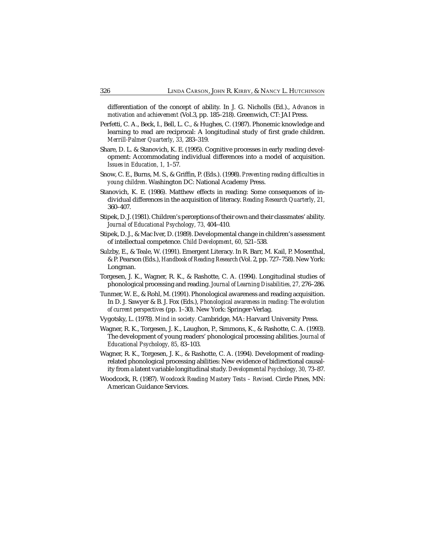differentiation of the concept of ability. In J. G. Nicholls (Ed.)., *Advances in motivation and achievement* (Vol.3, pp. 185–218). Greenwich, CT: JAI Press.

- Perfetti, C. A., Beck, I., Bell, L. C., & Hughes, C. (1987). Phonemic knowledge and learning to read are reciprocal: A longitudinal study of first grade children. *Merrill-Palmer Quarterly, 33,* 283–319.
- Share, D. L. & Stanovich, K. E. (1995). Cognitive processes in early reading development: Accommodating individual differences into a model of acquisition. *Issues in Education, 1,* 1–57.
- Snow, C. E., Burns, M. S., & Griffin, P. (Eds.). (1998). *Preventing reading difficulties in young children.* Washington DC: National Academy Press.
- Stanovich, K. E. (1986). Matthew effects in reading: Some consequences of individual differences in the acquisition of literacy. *Reading Research Quarterly, 21,* 360–407.
- Stipek, D. J. (1981). Children's perceptions of their own and their classmates' ability. *Journal of Educational Psychology, 73,* 404–410.
- Stipek, D. J., & Mac Iver, D. (1989). Developmental change in children's assessment of intellectual competence. *Child Development, 60,* 521–538.
- Sulzby, E., & Teale, W. (1991). Emergent Literacy. In R. Barr, M. Kail, P. Mosenthal, & P. Pearson (Eds.), *Handbook of Reading Research* (Vol. 2, pp. 727–758). New York: Longman.
- Torgesen, J. K., Wagner, R. K., & Rashotte, C. A. (1994). Longitudinal studies of phonological processing and reading. *Journal of Learning Disabilities, 27,* 276–286.
- Tunmer, W. E., & Rohl, M. (1991). Phonological awareness and reading acquisition. In D. J. Sawyer & B. J. Fox (Eds.), *Phonological awareness in reading: The evolution of current perspectives* (pp. 1–30). New York: Springer-Verlag.
- Vygotsky, L. (1978). *Mind in society.* Cambridge, MA: Harvard University Press.
- Wagner, R. K., Torgesen, J. K., Laughon, P., Simmons, K., & Rashotte, C. A. (1993). The development of young readers' phonological processing abilities. *Journal of Educational Psychology, 85,* 83–103.
- Wagner, R. K., Torgesen, J. K., & Rashotte, C. A. (1994). Development of readingrelated phonological processing abilities: New evidence of bidirectional causality from a latent variable longitudinal study. *Developmental Psychology, 30,* 73–87.
- Woodcock, R. (1987). *Woodcock Reading Mastery Tests Revised.* Circle Pines, MN: American Guidance Services.